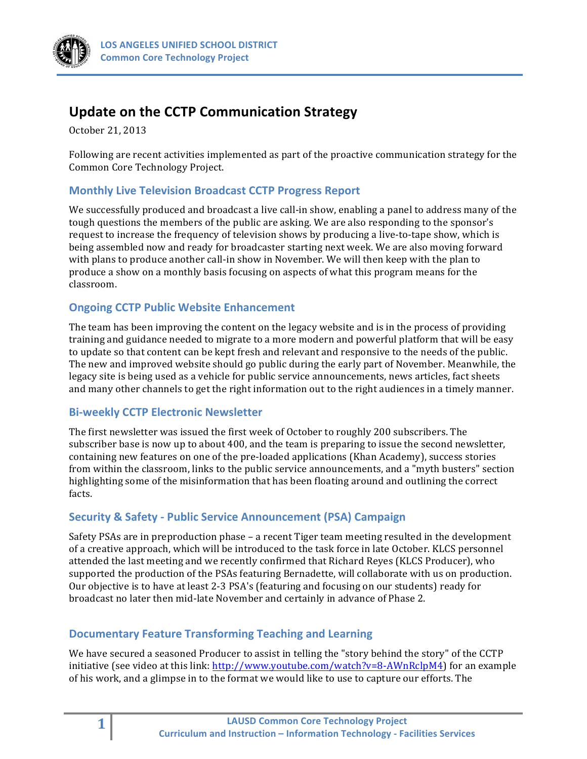

# **Update on the CCTP Communication Strategy**

October 21, 2013

Following are recent activities implemented as part of the proactive communication strategy for the Common Core Technology Project.

## **Monthly Live Television Broadcast CCTP Progress Report**

We successfully produced and broadcast a live call-in show, enabling a panel to address many of the tough questions the members of the public are asking. We are also responding to the sponsor's request to increase the frequency of television shows by producing a live-to-tape show, which is being assembled now and ready for broadcaster starting next week. We are also moving forward with plans to produce another call-in show in November. We will then keep with the plan to produce a show on a monthly basis focusing on aspects of what this program means for the classroom.

## **Ongoing CCTP Public Website Enhancement**

The team has been improving the content on the legacy website and is in the process of providing training and guidance needed to migrate to a more modern and powerful platform that will be easy to update so that content can be kept fresh and relevant and responsive to the needs of the public. The new and improved website should go public during the early part of November. Meanwhile, the legacy site is being used as a vehicle for public service announcements, news articles, fact sheets and many other channels to get the right information out to the right audiences in a timely manner.

### **Bi-weekly CCTP Electronic Newsletter**

The first newsletter was issued the first week of October to roughly 200 subscribers. The subscriber base is now up to about 400, and the team is preparing to issue the second newsletter, containing new features on one of the pre-loaded applications (Khan Academy), success stories from within the classroom, links to the public service announcements, and a "myth busters" section highlighting some of the misinformation that has been floating around and outlining the correct facts.

### **Security & Safety - Public Service Announcement (PSA) Campaign**

Safety PSAs are in preproduction phase – a recent Tiger team meeting resulted in the development of a creative approach, which will be introduced to the task force in late October. KLCS personnel attended the last meeting and we recently confirmed that Richard Reyes (KLCS Producer), who supported the production of the PSAs featuring Bernadette, will collaborate with us on production. Our objective is to have at least 2-3 PSA's (featuring and focusing on our students) ready for broadcast no later then mid-late November and certainly in advance of Phase 2.

### **Documentary Feature Transforming Teaching and Learning**

We have secured a seasoned Producer to assist in telling the "story behind the story" of the CCTP initiative (see video at this link: http://www.youtube.com/watch?v=8-AWnRclpM4) for an example of his work, and a glimpse in to the format we would like to use to capture our efforts. The